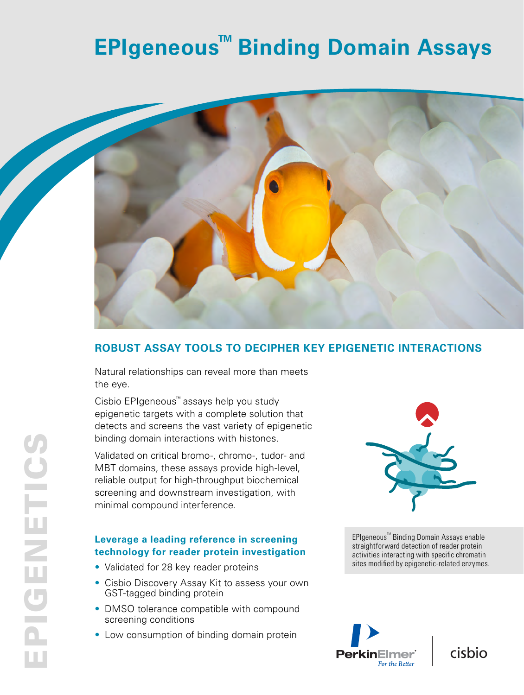## **EPIgeneous<sup>™</sup> Binding Domain Assays**



### **ROBUST ASSAY TOOLS TO DECIPHER KEY EPIGENETIC INTERACTIONS**

Natural relationships can reveal more than meets the eye.

Cisbio EPIgeneous™ assays help you study epigenetic targets with a complete solution that detects and screens the vast variety of epigenetic binding domain interactions with histones.

Validated on critical bromo-, chromo-, tudor- and MBT domains, these assays provide high-level, reliable output for high-throughput biochemical screening and downstream investigation, with minimal compound interference.

### **Leverage a leading reference in screening technology for reader protein investigation**

- Validated for 28 key reader proteins
- Cisbio Discovery Assay Kit to assess your own GST-tagged binding protein
- DMSO tolerance compatible with compound screening conditions
- Low consumption of binding domain protein



EPIgeneous Binding Domain Assays enable EPIgeneous<sup>™</sup> Binding Domain Assays enable straightforward detection of reader protein activities interacting with specific chromatin sites modified by epigenetic-related enzymes.